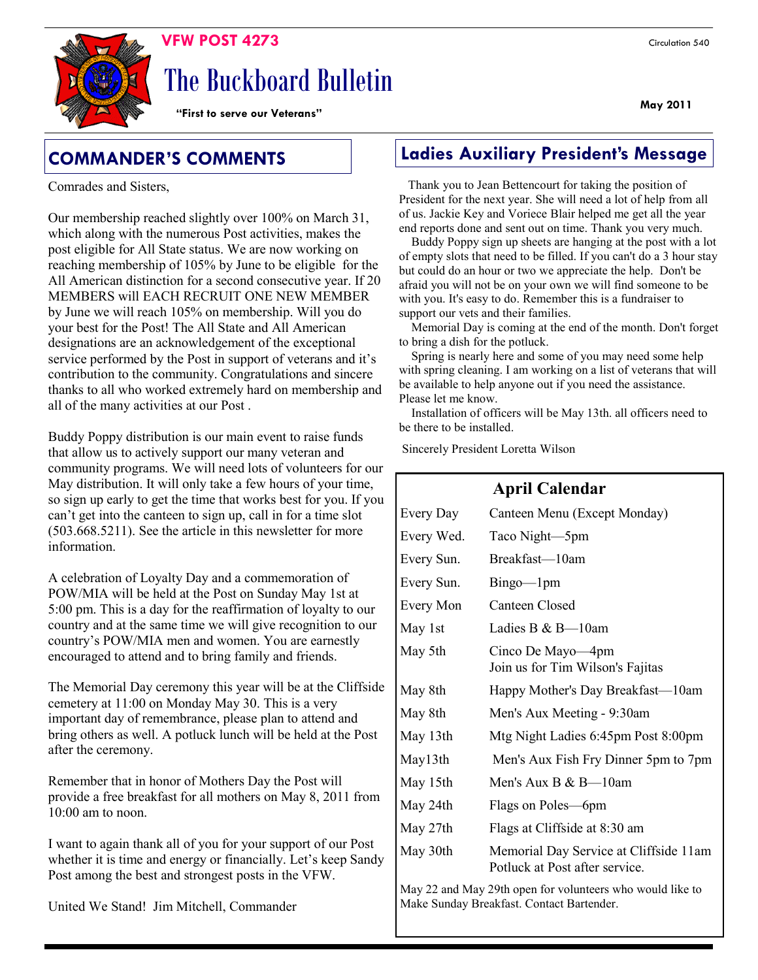

# The Buckboard Bulletin

**"First to serve our Veterans"**

Comrades and Sisters,

Our membership reached slightly over 100% on March 31, which along with the numerous Post activities, makes the post eligible for All State status. We are now working on reaching membership of 105% by June to be eligible for the All American distinction for a second consecutive year. If 20 MEMBERS will EACH RECRUIT ONE NEW MEMBER by June we will reach 105% on membership. Will you do your best for the Post! The All State and All American designations are an acknowledgement of the exceptional service performed by the Post in support of veterans and it's contribution to the community. Congratulations and sincere thanks to all who worked extremely hard on membership and all of the many activities at our Post .

Buddy Poppy distribution is our main event to raise funds that allow us to actively support our many veteran and community programs. We will need lots of volunteers for our May distribution. It will only take a few hours of your time, so sign up early to get the time that works best for you. If you can't get into the canteen to sign up, call in for a time slot (503.668.5211). See the article in this newsletter for more information.

A celebration of Loyalty Day and a commemoration of POW/MIA will be held at the Post on Sunday May 1st at 5:00 pm. This is a day for the reaffirmation of loyalty to our country and at the same time we will give recognition to our country's POW/MIA men and women. You are earnestly encouraged to attend and to bring family and friends.

The Memorial Day ceremony this year will be at the Cliffside cemetery at 11:00 on Monday May 30. This is a very important day of remembrance, please plan to attend and bring others as well. A potluck lunch will be held at the Post after the ceremony.

Remember that in honor of Mothers Day the Post will provide a free breakfast for all mothers on May 8, 2011 from 10:00 am to noon.

I want to again thank all of you for your support of our Post whether it is time and energy or financially. Let's keep Sandy Post among the best and strongest posts in the VFW.

United We Stand! Jim Mitchell, Commander

## **COMMANDER'S COMMENTS Ladies Auxiliary President's Message**

 Thank you to Jean Bettencourt for taking the position of President for the next year. She will need a lot of help from all of us. Jackie Key and Voriece Blair helped me get all the year end reports done and sent out on time. Thank you very much.

 Buddy Poppy sign up sheets are hanging at the post with a lot of empty slots that need to be filled. If you can't do a 3 hour stay but could do an hour or two we appreciate the help. Don't be afraid you will not be on your own we will find someone to be with you. It's easy to do. Remember this is a fundraiser to support our vets and their families.

 Memorial Day is coming at the end of the month. Don't forget to bring a dish for the potluck.

 Spring is nearly here and some of you may need some help with spring cleaning. I am working on a list of veterans that will be available to help anyone out if you need the assistance. Please let me know.

 Installation of officers will be May 13th. all officers need to be there to be installed.

Sincerely President Loretta Wilson

## **April Calendar**

| Every Day  | Canteen Menu (Except Monday)                                             |  |  |
|------------|--------------------------------------------------------------------------|--|--|
| Every Wed. | Taco Night-5pm                                                           |  |  |
| Every Sun. | Breakfast-10am                                                           |  |  |
| Every Sun. | $Bingo$ —1pm                                                             |  |  |
| Every Mon  | Canteen Closed                                                           |  |  |
| May 1st    | Ladies B $& B-10am$                                                      |  |  |
| May 5th    | Cinco De Mayo—4pm<br>Join us for Tim Wilson's Fajitas                    |  |  |
| May 8th    | Happy Mother's Day Breakfast—10am                                        |  |  |
| May 8th    | Men's Aux Meeting - 9:30am                                               |  |  |
| May 13th   | Mtg Night Ladies 6:45pm Post 8:00pm                                      |  |  |
| May13th    | Men's Aux Fish Fry Dinner 5pm to 7pm                                     |  |  |
| May 15th   | Men's Aux B $& B-10$ am                                                  |  |  |
| May 24th   | Flags on Poles—6pm                                                       |  |  |
| May 27th   | Flags at Cliffside at 8:30 am                                            |  |  |
| May 30th   | Memorial Day Service at Cliffside 11am<br>Potluck at Post after service. |  |  |

May 22 and May 29th open for volunteers who would like to Make Sunday Breakfast. Contact Bartender.

**May 2011**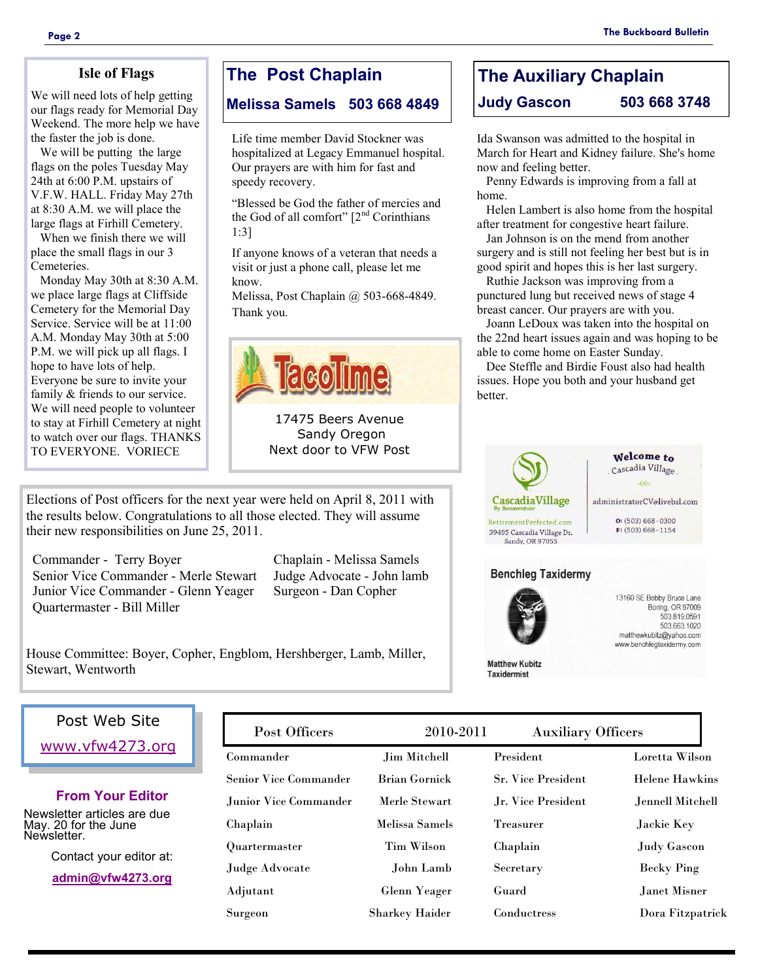#### **Isle of Flags**

We will need lots of help getting our flags ready for Memorial Day Weekend. The more help we have the faster the job is done.

 We will be putting the large flags on the poles Tuesday May 24th at 6:00 P.M. upstairs of V.F.W. HALL. Friday May 27th at 8:30 A.M. we will place the large flags at Firhill Cemetery.

 When we finish there we will place the small flags in our 3 Cemeteries.

 Monday May 30th at 8:30 A.M. we place large flags at Cliffside Cemetery for the Memorial Day Service. Service will be at 11:00 A.M. Monday May 30th at 5:00 P.M. we will pick up all flags. I hope to have lots of help. Everyone be sure to invite your family & friends to our service. We will need people to volunteer to stay at Firhill Cemetery at night to watch over our flags. THANKS TO EVERYONE. VORIECE

## **The Post Chaplain**

**Melissa Samels 503 668 4849**

Life time member David Stockner was hospitalized at Legacy Emmanuel hospital. Our prayers are with him for fast and speedy recovery.

"Blessed be God the father of mercies and the God of all comfort"  $[2^{nd}$  Corinthians 1:3]

If anyone knows of a veteran that needs a visit or just a phone call, please let me know.

Melissa, Post Chaplain @ 503-668-4849. Thank you.



17475 Beers Avenue Sandy Oregon Next door to VFW Post

Elections of Post officers for the next year were held on April 8, 2011 with the results below. Congratulations to all those elected. They will assume their new responsibilities on June 25, 2011.

Commander - Terry Boyer Senior Vice Commander - Merle Stewart Junior Vice Commander - Glenn Yeager Quartermaster - Bill Miller

Chaplain - Melissa Samels Judge Advocate - John lamb Surgeon - Dan Copher

House Committee: Boyer, Copher, Engblom, Hershberger, Lamb, Miller, Stewart, Wentworth

## **The Auxiliary Chaplain Judy Gascon 503 668 3748**

Ida Swanson was admitted to the hospital in March for Heart and Kidney failure. She's home now and feeling better.

 Penny Edwards is improving from a fall at home.

 Helen Lambert is also home from the hospital after treatment for congestive heart failure.

 Jan Johnson is on the mend from another surgery and is still not feeling her best but is in good spirit and hopes this is her last surgery.

 Ruthie Jackson was improving from a punctured lung but received news of stage 4 breast cancer. Our prayers are with you.

 Joann LeDoux was taken into the hospital on the 22nd heart issues again and was hoping to be able to come home on Easter Sunday.

 Dee Steffle and Birdie Foust also had health issues. Hope you both and your husband get better.



| Site                           | Post Officers                | 2010-2011             | <b>Auxiliary Officers</b> |                       |
|--------------------------------|------------------------------|-----------------------|---------------------------|-----------------------|
| 73.org                         | Commander                    | Jim Mitchell          | President                 | Loretta Wilson        |
|                                | <b>Senior Vice Commander</b> | <b>Brian Gornick</b>  | <b>Sr. Vice President</b> | <b>Helene Hawkins</b> |
| <b>Editor</b><br>are due<br>e. | Junior Vice Commander        | Merle Stewart         | Jr. Vice President        | Jennell Mitchell      |
|                                | Chaplain                     | Melissa Samels        | Treasurer                 | Jackie Key            |
| editor at:<br>273.org          | Quartermaster                | Tim Wilson            | Chaplain                  | <b>Judy Gascon</b>    |
|                                | Judge Advocate               | John Lamb             | Secretary                 | <b>Becky Ping</b>     |
|                                | Adjutant                     | <b>Glenn Yeager</b>   | Guard                     | Janet Misner          |
|                                | Surgeon                      | <b>Sharkey Haider</b> | Conductress               | Dora Fitzpatrick      |

Post Web Sit

www.vfw42

#### **From Your**

Newsletter articles May. 20 for the June Newsletter.

Contact your e

admin@vfw4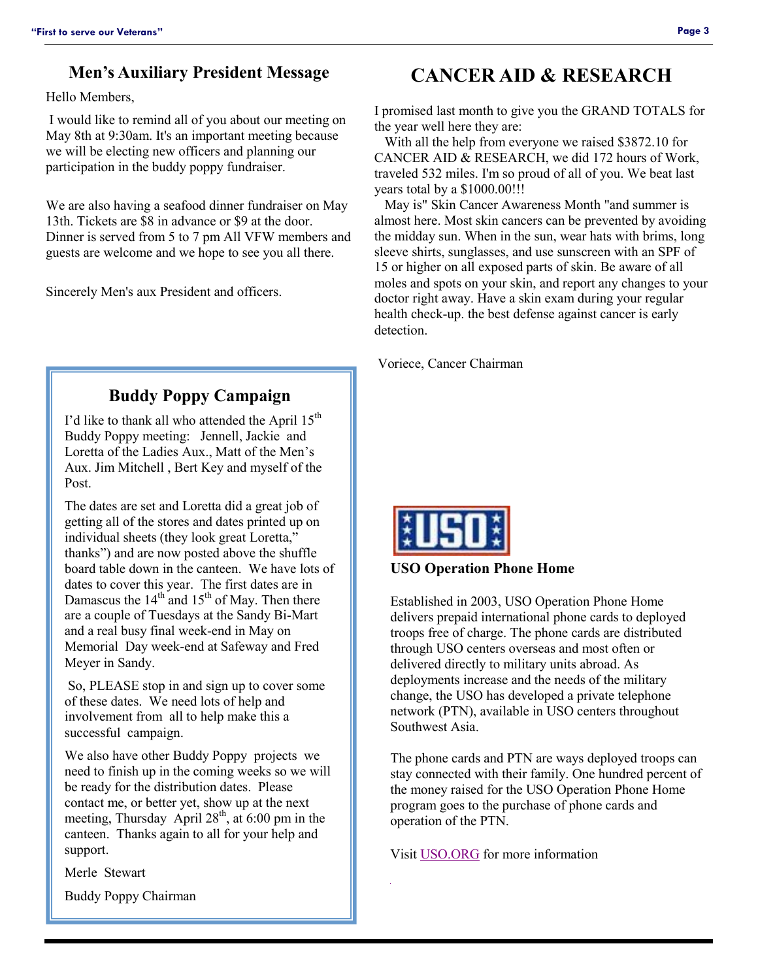## **Men's Auxiliary President Message**

Hello Members,

I would like to remind all of you about our meeting on May 8th at 9:30am. It's an important meeting because we will be electing new officers and planning our participation in the buddy poppy fundraiser.

We are also having a seafood dinner fundraiser on May 13th. Tickets are \$8 in advance or \$9 at the door. Dinner is served from 5 to 7 pm All VFW members and guests are welcome and we hope to see you all there.

Sincerely Men's aux President and officers.

### **Buddy Poppy Campaign**

I'd like to thank all who attended the April  $15<sup>th</sup>$ Buddy Poppy meeting: Jennell, Jackie and Loretta of the Ladies Aux., Matt of the Men's Aux. Jim Mitchell , Bert Key and myself of the Post.

The dates are set and Loretta did a great job of getting all of the stores and dates printed up on individual sheets (they look great Loretta," thanks") and are now posted above the shuffle board table down in the canteen. We have lots of dates to cover this year. The first dates are in Damascus the  $14<sup>th</sup>$  and  $15<sup>th</sup>$  of May. Then there are a couple of Tuesdays at the Sandy Bi-Mart and a real busy final week-end in May on Memorial Day week-end at Safeway and Fred Meyer in Sandy.

So, PLEASE stop in and sign up to cover some of these dates. We need lots of help and involvement from all to help make this a successful campaign.

We also have other Buddy Poppy projects we need to finish up in the coming weeks so we will be ready for the distribution dates. Please contact me, or better yet, show up at the next meeting, Thursday April  $28<sup>th</sup>$ , at 6:00 pm in the canteen. Thanks again to all for your help and support.

Merle Stewart

Buddy Poppy Chairman

## **CANCER AID & RESEARCH**

I promised last month to give you the GRAND TOTALS for the year well here they are:

 With all the help from everyone we raised \$3872.10 for CANCER AID & RESEARCH, we did 172 hours of Work, traveled 532 miles. I'm so proud of all of you. We beat last years total by a \$1000.00!!!

 May is" Skin Cancer Awareness Month "and summer is almost here. Most skin cancers can be prevented by avoiding the midday sun. When in the sun, wear hats with brims, long sleeve shirts, sunglasses, and use sunscreen with an SPF of 15 or higher on all exposed parts of skin. Be aware of all moles and spots on your skin, and report any changes to your doctor right away. Have a skin exam during your regular health check-up. the best defense against cancer is early detection.

Voriece, Cancer Chairman



#### **USO Operation Phone Home**

Established in 2003, USO Operation Phone Home delivers prepaid international phone cards to deployed troops free of charge. The phone cards are distributed through USO centers overseas and most often or delivered directly to military units abroad. As deployments increase and the needs of the military change, the USO has developed a private telephone network (PTN), available in USO centers throughout Southwest Asia.

The phone cards and PTN are ways deployed troops can stay connected with their family. One hundred percent of the money raised for the USO Operation Phone Home program goes to the purchase of phone cards and operation of the PTN.

Visit [USO.ORG](http://www.uso.org/uso-operation-phone-home.aspx) for more information